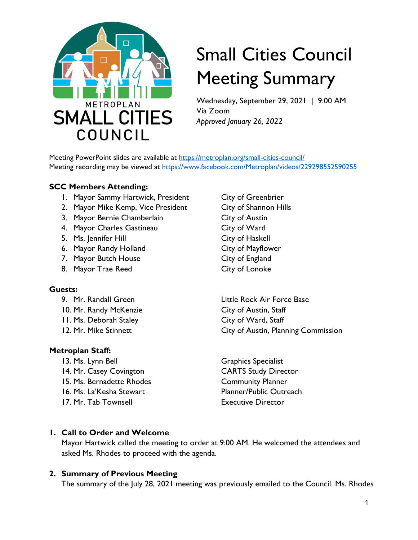

# Small Cities Council Meeting Summary

Wednesday, September 29, 2021 | 9:00 AM Via Zoom *Approved January 26, 2022*

Meeting PowerPoint slides are available at<https://metroplan.org/small-cities-council/> Meeting recording may be viewed at https://www.facebook.com/Metroplan/videos/229298552590255

#### **SCC Members Attending:**

- 1. Mayor Sammy Hartwick, President City of Greenbrier
- 2. Mayor Mike Kemp, Vice President City of Shannon Hills
- 3. Mayor Bernie Chamberlain City of Austin
- 4. Mayor Charles Gastineau City of Ward
- 5. Ms. Jennifer Hill City of Haskell
- 6. Mayor Randy Holland City of Mayflower
- 7. Mayor Butch House City of England
- 8. Mayor Trae Reed City of Lonoke

#### **Guests:**

- 
- 10. Mr. Randy McKenzie City of Austin, Staff
- 11. Ms. Deborah Staley City of Ward, Staff
- 

#### **Metroplan Staff:**

- 
- 14. Mr. Casey Covington CARTS Study Director
- 15. Ms. Bernadette Rhodes Community Planner
- 
- 17. Mr. Tab Townsell **Executive Director**

9. Mr. Randall Green Little Rock Air Force Base 12. Mr. Mike Stinnett City of Austin, Planning Commission

13. Ms. Lynn Bell Graphics Specialist 16. Ms. La'Kesha Stewart Planner/Public Outreach

#### **1. Call to Order and Welcome**

Mayor Hartwick called the meeting to order at 9:00 AM. He welcomed the attendees and asked Ms. Rhodes to proceed with the agenda.

#### **2. Summary of Previous Meeting**

The summary of the July 28, 2021 meeting was previously emailed to the Council. Ms. Rhodes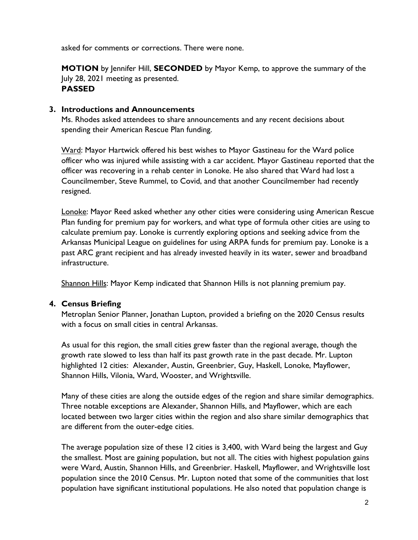asked for comments or corrections. There were none.

**MOTION** by Jennifer Hill, **SECONDED** by Mayor Kemp, to approve the summary of the July 28, 2021 meeting as presented. **PASSED**

#### **3. Introductions and Announcements**

Ms. Rhodes asked attendees to share announcements and any recent decisions about spending their American Rescue Plan funding.

Ward: Mayor Hartwick offered his best wishes to Mayor Gastineau for the Ward police officer who was injured while assisting with a car accident. Mayor Gastineau reported that the officer was recovering in a rehab center in Lonoke. He also shared that Ward had lost a Councilmember, Steve Rummel, to Covid, and that another Councilmember had recently resigned.

Lonoke: Mayor Reed asked whether any other cities were considering using American Rescue Plan funding for premium pay for workers, and what type of formula other cities are using to calculate premium pay. Lonoke is currently exploring options and seeking advice from the Arkansas Municipal League on guidelines for using ARPA funds for premium pay. Lonoke is a past ARC grant recipient and has already invested heavily in its water, sewer and broadband infrastructure.

Shannon Hills: Mayor Kemp indicated that Shannon Hills is not planning premium pay.

#### **4. Census Briefing**

Metroplan Senior Planner, Jonathan Lupton, provided a briefing on the 2020 Census results with a focus on small cities in central Arkansas.

As usual for this region, the small cities grew faster than the regional average, though the growth rate slowed to less than half its past growth rate in the past decade. Mr. Lupton highlighted 12 cities: Alexander, Austin, Greenbrier, Guy, Haskell, Lonoke, Mayflower, Shannon Hills, Vilonia, Ward, Wooster, and Wrightsville.

Many of these cities are along the outside edges of the region and share similar demographics. Three notable exceptions are Alexander, Shannon Hills, and Mayflower, which are each located between two larger cities within the region and also share similar demographics that are different from the outer-edge cities.

The average population size of these 12 cities is 3,400, with Ward being the largest and Guy the smallest. Most are gaining population, but not all. The cities with highest population gains were Ward, Austin, Shannon Hills, and Greenbrier. Haskell, Mayflower, and Wrightsville lost population since the 2010 Census. Mr. Lupton noted that some of the communities that lost population have significant institutional populations. He also noted that population change is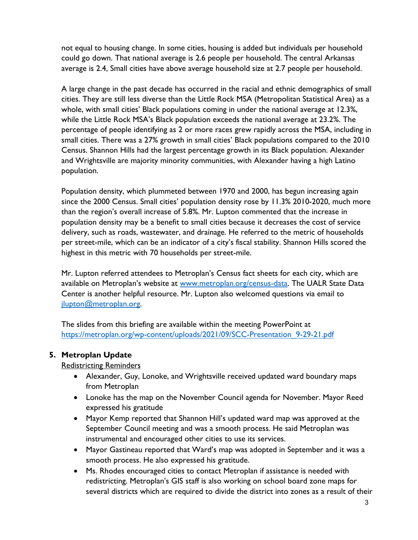not equal to housing change. In some cities, housing is added but individuals per household could go down. That national average is 2.6 people per household. The central Arkansas average is 2.4, Small cities have above average household size at 2.7 people per household.

A large change in the past decade has occurred in the racial and ethnic demographics of small cities. They are still less diverse than the Little Rock MSA (Metropolitan Statistical Area) as a whole, with small cities' Black populations coming in under the national average at 12.3%, while the Little Rock MSA's Black population exceeds the national average at 23.2%. The percentage of people identifying as 2 or more races grew rapidly across the MSA, including in small cities. There was a 27% growth in small cities' Black populations compared to the 2010 Census. Shannon Hills had the largest percentage growth in its Black population. Alexander and Wrightsville are majority minority communities, with Alexander having a high Latino population.

Population density, which plummeted between 1970 and 2000, has begun increasing again since the 2000 Census. Small cities' population density rose by 11.3% 2010-2020, much more than the region's overall increase of 5.8%. Mr. Lupton commented that the increase in population density may be a benefit to small cities because it decreases the cost of service delivery, such as roads, wastewater, and drainage. He referred to the metric of households per street-mile, which can be an indicator of a city's fiscal stability. Shannon Hills scored the highest in this metric with 70 households per street-mile.

Mr. Lupton referred attendees to Metroplan's Census fact sheets for each city, which are available on Metroplan's website at [www.metroplan.org/census-data.](http://www.metroplan.org/census-data) The UALR State Data Center is another helpful resource. Mr. Lupton also welcomed questions via email to [jlupton@metroplan.org.](mailto:jlupton@metroplan.org)

The slides from this briefing are available within the meeting PowerPoint at [https://metroplan.org/wp-content/uploads/2021/09/SCC-Presentation\\_9-29-21.pdf](https://metroplan.org/wp-content/uploads/2021/09/SCC-Presentation_9-29-21.pdf) 

## **5. Metroplan Update**

Redistricting Reminders

- Alexander, Guy, Lonoke, and Wrightsville received updated ward boundary maps from Metroplan
- Lonoke has the map on the November Council agenda for November. Mayor Reed expressed his gratitude
- Mayor Kemp reported that Shannon Hill's updated ward map was approved at the September Council meeting and was a smooth process. He said Metroplan was instrumental and encouraged other cities to use its services.
- Mayor Gastineau reported that Ward's map was adopted in September and it was a smooth process. He also expressed his gratitude.
- Ms. Rhodes encouraged cities to contact Metroplan if assistance is needed with redistricting. Metroplan's GIS staff is also working on school board zone maps for several districts which are required to divide the district into zones as a result of their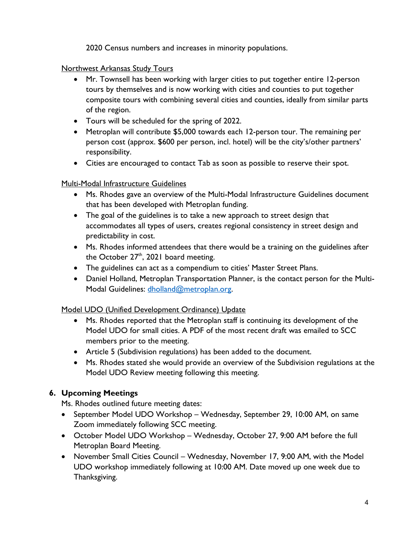2020 Census numbers and increases in minority populations.

Northwest Arkansas Study Tours

- Mr. Townsell has been working with larger cities to put together entire 12-person tours by themselves and is now working with cities and counties to put together composite tours with combining several cities and counties, ideally from similar parts of the region.
- Tours will be scheduled for the spring of 2022.
- Metroplan will contribute \$5,000 towards each 12-person tour. The remaining per person cost (approx. \$600 per person, incl. hotel) will be the city's/other partners' responsibility.
- Cities are encouraged to contact Tab as soon as possible to reserve their spot.

## **Multi-Modal Infrastructure Guidelines**

- Ms. Rhodes gave an overview of the Multi-Modal Infrastructure Guidelines document that has been developed with Metroplan funding.
- The goal of the guidelines is to take a new approach to street design that accommodates all types of users, creates regional consistency in street design and predictability in cost.
- Ms. Rhodes informed attendees that there would be a training on the guidelines after the October  $27<sup>th</sup>$ , 2021 board meeting.
- The guidelines can act as a compendium to cities' Master Street Plans.
- Daniel Holland, Metroplan Transportation Planner, is the contact person for the MultiModal Guidelines: [dholland@metroplan.org.](mailto:dholland@metroplan.org)

# Model UDO (Unified Development Ordinance) Update

- Ms. Rhodes reported that the Metroplan staff is continuing its development of the Model UDO for small cities. A PDF of the most recent draft was emailed to SCC members prior to the meeting.
- Article 5 (Subdivision regulations) has been added to the document.
- Ms. Rhodes stated she would provide an overview of the Subdivision regulations at the Model UDO Review meeting following this meeting.

# **6. Upcoming Meetings**

Ms. Rhodes outlined future meeting dates:

- September Model UDO Workshop Wednesday, September 29, 10:00 AM, on same Zoom immediately following SCC meeting.
- October Model UDO Workshop Wednesday, October 27, 9:00 AM before the full Metroplan Board Meeting.
- November Small Cities Council Wednesday, November 17, 9:00 AM, with the Model UDO workshop immediately following at 10:00 AM. Date moved up one week due to Thanksgiving.